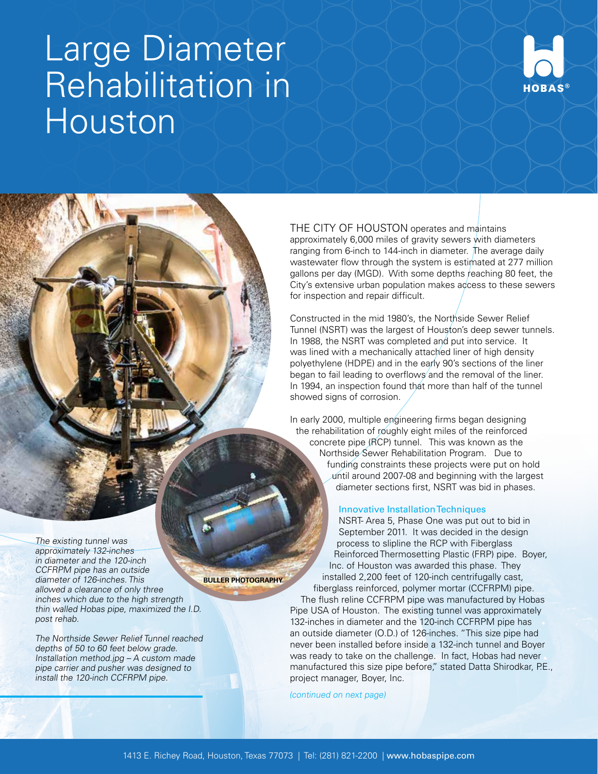# Large Diameter Rehabilitation in Houston



THE CITY OF HOUSTON operates and maintains approximately 6,000 miles of gravity sewers with diameters ranging from 6-inch to 144-inch in diameter. The average daily wastewater flow through the system is estimated at 277 million gallons per day (MGD). With some depths reaching 80 feet, the City's extensive urban population makes access to these sewers for inspection and repair difficult.

Constructed in the mid 1980's, the Northside Sewer Relief Tunnel (NSRT) was the largest of Houston's deep sewer tunnels. In 1988, the NSRT was completed and put into service. It was lined with a mechanically attached liner of high density polyethylene (HDPE) and in the early 90's sections of the liner began to fail leading to overflows and the removal of the liner. In 1994, an inspection found that more than half of the tunnel showed signs of corrosion.

In early 2000, multiple engineering firms began designing the rehabilitation of roughly eight miles of the reinforced concrete pipe (RCP) tunnel. This was known as the Northside Sewer Rehabilitation Program. Due to funding constraints these projects were put on hold until around 2007-08 and beginning with the largest diameter sections first, NSRT was bid in phases.

## Innovative Installation Techniques

NSRT- Area 5, Phase One was put out to bid in September 2011. It was decided in the design process to slipline the RCP with Fiberglass Reinforced Thermosetting Plastic (FRP) pipe. Boyer, Inc. of Houston was awarded this phase. They installed 2,200 feet of 120-inch centrifugally cast, fiberglass reinforced, polymer mortar (CCFRPM) pipe.

The flush reline CCFRPM pipe was manufactured by Hobas Pipe USA of Houston. The existing tunnel was approximately 132-inches in diameter and the 120-inch CCFRPM pipe has an outside diameter (O.D.) of 126-inches. "This size pipe had never been installed before inside a 132-inch tunnel and Boyer was ready to take on the challenge. In fact, Hobas had never manufactured this size pipe before," stated Datta Shirodkar, P.E., project manager, Boyer, Inc.

(continued on next page)

The existing tunnel was approximately 132-inches in diameter and the 120-inch CCFRPM pipe has an outside diameter of 126-inches. This allowed a clearance of only three inches which due to the high strength thin walled Hobas pipe, maximized the I.D. post rehab.

The Northside Sewer Relief Tunnel reached depths of 50 to 60 feet below grade. Installation method.jpg – A custom made pipe carrier and pusher was designed to install the 120-inch CCFRPM pipe.

**BULLER PHOTOGRAPHY**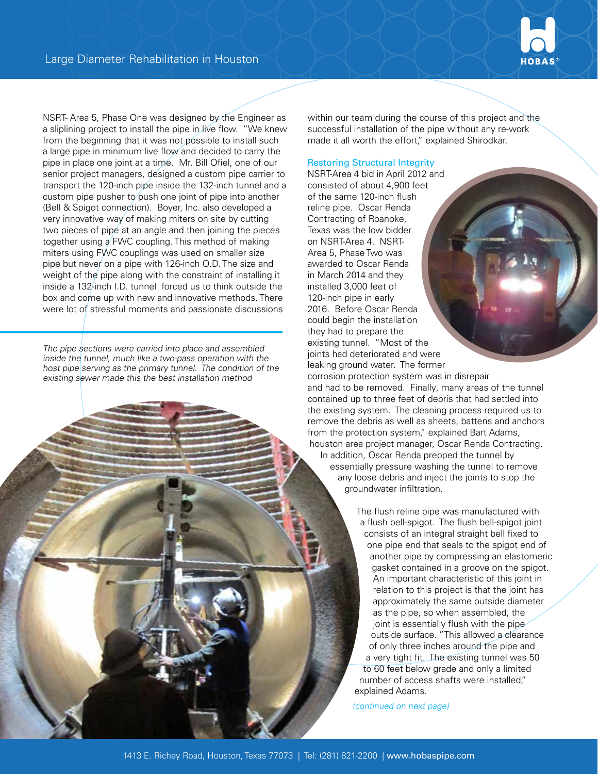

NSRT- Area 5, Phase One was designed by the Engineer as a sliplining project to install the pipe in live flow. "We knew from the beginning that it was not possible to install such a large pipe in minimum live flow and decided to carry the pipe in place one joint at a time. Mr. Bill Ofiel, one of our senior project managers, designed a custom pipe carrier to transport the 120-inch pipe inside the 132-inch tunnel and a custom pipe pusher to push one joint of pipe into another (Bell & Spigot connection). Boyer, Inc. also developed a very innovative way of making miters on site by cutting two pieces of pipe at an angle and then joining the pieces together using a FWC coupling. This method of making miters using FWC couplings was used on smaller size pipe but never on a pipe with 126-inch O.D. The size and weight of the pipe along with the constraint of installing it inside a 132-inch I.D. tunnel forced us to think outside the box and come up with new and innovative methods. There were lot of stressful moments and passionate discussions

The pipe sections were carried into place and assembled inside the tunnel, much like a two-pass operation with the host pipe serving as the primary tunnel. The condition of the existing sewer made this the best installation method

within our team during the course of this project and the successful installation of the pipe without any re-work made it all worth the effort," explained Shirodkar.

Restoring Structural Integrity

NSRT-Area 4 bid in April 2012 and consisted of about 4,900 feet of the same 120-inch flush reline pipe. Oscar Renda Contracting of Roanoke, Texas was the low bidder on NSRT-Area 4. NSRT-Area 5, Phase Two was awarded to Oscar Renda in March 2014 and they installed 3,000 feet of 120-inch pipe in early 2016. Before Oscar Renda could begin the installation they had to prepare the existing tunnel. "Most of the joints had deteriorated and were leaking ground water. The former

corrosion protection system was in disrepair and had to be removed. Finally, many areas of the tunnel contained up to three feet of debris that had settled into the existing system. The cleaning process required us to remove the debris as well as sheets, battens and anchors from the protection system," explained Bart Adams, houston area project manager, Oscar Renda Contracting. In addition, Oscar Renda prepped the tunnel by essentially pressure washing the tunnel to remove any loose debris and inject the joints to stop the groundwater infiltration.

> The flush reline pipe was manufactured with a flush bell-spigot. The flush bell-spigot joint consists of an integral straight bell fixed to one pipe end that seals to the spigot end of another pipe by compressing an elastomeric gasket contained in a groove on the spigot. An important characteristic of this joint in relation to this project is that the joint has approximately the same outside diameter as the pipe, so when assembled, the joint is essentially flush with the pipe outside surface. "This allowed a clearance of only three inches around the pipe and a very tight fit. The existing tunnel was 50 to 60 feet below grade and only a limited number of access shafts were installed," explained Adams.

(continued on next page)